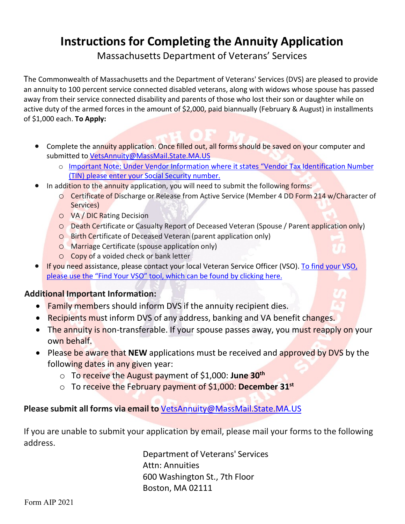# **Instructions for Completing the Annuity Application**

Massachusetts Department of Veterans' Services

The Commonwealth of Massachusetts and the Department of Veterans' Services (DVS) are pleased to provide an annuity to 100 percent service connected disabled veterans, along with widows whose spouse has passed away from their service connected disability and parents of those who lost their son or daughter while on active duty of the armed forces in the amount of \$2,000, paid biannually (February & August) in installments of \$1,000 each. **To Apply:**

- Complete the annuity application. Once filled out, all forms should be saved on your computer and submitted to [VetsAnnuity@MassMail.State.MA.US](mailto:VetsAnnuity@MassMail.State.MA.US)
	- o Important Note: Under Vendor Information where it states "Vendor Tax Identification Number (TIN) please enter your Social Security number.
- In addition to the annuity application, you will need to submit the following forms:
	- o Certificate of Discharge or Release from Active Service (Member 4 DD Form 214 w/Character of Services)
	- o VA / DIC Rating Decision
	- o Death Certificate or Casualty Report of Deceased Veteran (Spouse / Parent application only)
	- o Birth Certificate of Deceased Veteran (parent application only)
	- o Marriage Certificate (spouse application only)
	- o Copy of a voided check or bank letter
- If you need assistance, please contact your local Veteran Service Officer (VSO). To find your VSO, please use the "Find Your VSO" tool, which can be found by clicking here.

### **Additional Important Information:**

- Family members should inform DVS if the annuity recipient dies.
- Recipients must inform DVS of any address, banking and VA benefit changes.
- The annuity is non-transferable. If your spouse passes away, you must reapply on your own behalf.
- Please be aware that **NEW** applications must be received and approved by DVS by the following dates in any given year:
	- o To receive the August payment of \$1,000: **June 30th**
	- o To receive the February payment of \$1,000: **December 31st**

### **Please submit all forms via email to** [VetsAnnuity@MassMail.State.MA.US](mailto:VetsAnnuity@MassMail.State.MA.US)

If you are unable to submit your application by email, please mail your forms to the following address.

> Department of Veterans' Services Attn: Annuities 600 Washington St., 7th Floor Boston, MA 02111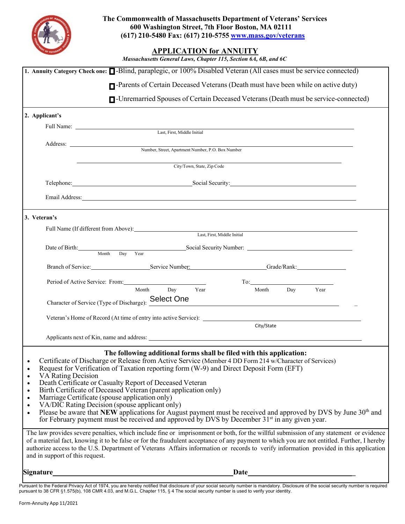

### **APPLICATION for ANNUITY**

|  |  |  | Massachusetts General Laws, Chapter 115, Section 6A, 6B, and 6C |  |
|--|--|--|-----------------------------------------------------------------|--|
|--|--|--|-----------------------------------------------------------------|--|

| 1. Annuity Category Check one: <b>Q</b> -Blind, paraplegic, or 100% Disabled Veteran (All cases must be service connected)                                                                                                                                                                                                                                                                                                                                                                                                                                                                                                                                                                                                                                                                                                                                                                   |
|----------------------------------------------------------------------------------------------------------------------------------------------------------------------------------------------------------------------------------------------------------------------------------------------------------------------------------------------------------------------------------------------------------------------------------------------------------------------------------------------------------------------------------------------------------------------------------------------------------------------------------------------------------------------------------------------------------------------------------------------------------------------------------------------------------------------------------------------------------------------------------------------|
| <b>T</b> -Parents of Certain Deceased Veterans (Death must have been while on active duty)                                                                                                                                                                                                                                                                                                                                                                                                                                                                                                                                                                                                                                                                                                                                                                                                   |
| <b>I</b> -Unremarried Spouses of Certain Deceased Veterans (Death must be service-connected)                                                                                                                                                                                                                                                                                                                                                                                                                                                                                                                                                                                                                                                                                                                                                                                                 |
| 2. Applicant's                                                                                                                                                                                                                                                                                                                                                                                                                                                                                                                                                                                                                                                                                                                                                                                                                                                                               |
| Full Name: Last, First, Middle Initial                                                                                                                                                                                                                                                                                                                                                                                                                                                                                                                                                                                                                                                                                                                                                                                                                                                       |
|                                                                                                                                                                                                                                                                                                                                                                                                                                                                                                                                                                                                                                                                                                                                                                                                                                                                                              |
|                                                                                                                                                                                                                                                                                                                                                                                                                                                                                                                                                                                                                                                                                                                                                                                                                                                                                              |
| <u> 1989 - Johann Barn, mars ann an t-Amhain Aonaich an t-Aonaich an t-Aonaich an t-Aonaich an t-Aonaich an t-Aon</u><br>City/Town, State, Zip Code                                                                                                                                                                                                                                                                                                                                                                                                                                                                                                                                                                                                                                                                                                                                          |
| Telephone: Social Security: Social Security:                                                                                                                                                                                                                                                                                                                                                                                                                                                                                                                                                                                                                                                                                                                                                                                                                                                 |
| Email Address: No. 2014 19:30 and 20:30 and 20:30 and 20:30 and 20:30 and 20:30 and 20:30 and 20:30 and 20:30 and 20:30 and 20:30 and 20:30 and 20:30 and 20:30 and 20:30 and 20:30 and 20:30 and 20:30 and 20:30 and 20:30 an                                                                                                                                                                                                                                                                                                                                                                                                                                                                                                                                                                                                                                                               |
| 3. Veteran's                                                                                                                                                                                                                                                                                                                                                                                                                                                                                                                                                                                                                                                                                                                                                                                                                                                                                 |
| Full Name (If different from Above): Last, First, Middle Initial                                                                                                                                                                                                                                                                                                                                                                                                                                                                                                                                                                                                                                                                                                                                                                                                                             |
| Date of Birth: Month Day Year Social Security Number:                                                                                                                                                                                                                                                                                                                                                                                                                                                                                                                                                                                                                                                                                                                                                                                                                                        |
|                                                                                                                                                                                                                                                                                                                                                                                                                                                                                                                                                                                                                                                                                                                                                                                                                                                                                              |
| Period of Active Service: From:<br>$To: \begin{tabular}{ c c c } \hline \quad \quad & \quad \quad & \quad \quad \\ \hline \end{tabular}$                                                                                                                                                                                                                                                                                                                                                                                                                                                                                                                                                                                                                                                                                                                                                     |
| Year<br>Month Day<br>Year<br>Month Day                                                                                                                                                                                                                                                                                                                                                                                                                                                                                                                                                                                                                                                                                                                                                                                                                                                       |
| Character of Service (Type of Discharge): Select One                                                                                                                                                                                                                                                                                                                                                                                                                                                                                                                                                                                                                                                                                                                                                                                                                                         |
|                                                                                                                                                                                                                                                                                                                                                                                                                                                                                                                                                                                                                                                                                                                                                                                                                                                                                              |
| City/State                                                                                                                                                                                                                                                                                                                                                                                                                                                                                                                                                                                                                                                                                                                                                                                                                                                                                   |
|                                                                                                                                                                                                                                                                                                                                                                                                                                                                                                                                                                                                                                                                                                                                                                                                                                                                                              |
| The following additional forms shall be filed with this application:<br>Certificate of Discharge or Release from Active Service (Member 4 DD Form 214 w/Character of Services)<br>$\bullet$<br>Request for Verification of Taxation reporting form (W-9) and Direct Deposit Form (EFT)<br>$\bullet$<br><b>VA Rating Decision</b><br>$\bullet$<br>Death Certificate or Casualty Report of Deceased Veteran<br>$\bullet$<br>Birth Certificate of Deceased Veteran (parent application only)<br>$\bullet$<br>Marriage Certificate (spouse application only)<br>$\bullet$<br>VA/DIC Rating Decision (spouse applicant only)<br>$\bullet$<br>Please be aware that NEW applications for August payment must be received and approved by DVS by June 30 <sup>th</sup> and<br>$\bullet$<br>for February payment must be received and approved by DVS by December 31 <sup>st</sup> in any given year. |
| The law provides severe penalties, which include fine or imprisonment or both, for the willful submission of any statement or evidence<br>of a material fact, knowing it to be false or for the fraudulent acceptance of any payment to which you are not entitled. Further, I hereby<br>authorize access to the U.S. Department of Veterans Affairs information or records to verify information provided in this application<br>and in support of this request.                                                                                                                                                                                                                                                                                                                                                                                                                            |
| Date<br><b>Signature</b>                                                                                                                                                                                                                                                                                                                                                                                                                                                                                                                                                                                                                                                                                                                                                                                                                                                                     |

Pursuant to the Federal Privacy Act of 1974, you are hereby notified that disclosure of your social security number is mandatory. Disclosure of the social security number is required<br>pursuant to 38 CFR §1.575(b), 108 CMR 4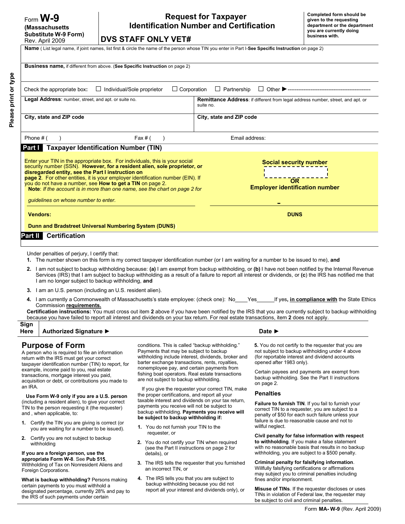Please print or type **Please print or type**

the IRS of such payments under certain

### **Request for Taxpayer Identification Number and Certification**

**DVS STAFF ONLY VET#**

**Name** ( List legal name, if joint names, list first & circle the name of the person whose TIN you enter in Part I-**See Specific Instruction** on page 2)

| <b>Business name, if different from above. (See Specific Instruction on page 2)</b>                                                                                                                                                                                                                                                                                                                                                                                                 |                                                                                                                                                                                                                                                    |                                                  |                                                                                                                                                                                                                                                                                                                                                                                                                                                                                                                                                                                                                       |
|-------------------------------------------------------------------------------------------------------------------------------------------------------------------------------------------------------------------------------------------------------------------------------------------------------------------------------------------------------------------------------------------------------------------------------------------------------------------------------------|----------------------------------------------------------------------------------------------------------------------------------------------------------------------------------------------------------------------------------------------------|--------------------------------------------------|-----------------------------------------------------------------------------------------------------------------------------------------------------------------------------------------------------------------------------------------------------------------------------------------------------------------------------------------------------------------------------------------------------------------------------------------------------------------------------------------------------------------------------------------------------------------------------------------------------------------------|
| $\Box$ Individual/Sole proprietor<br>Check the appropriate box:                                                                                                                                                                                                                                                                                                                                                                                                                     | $\Box$ Corporation                                                                                                                                                                                                                                 | $\Box$ Partnership                               |                                                                                                                                                                                                                                                                                                                                                                                                                                                                                                                                                                                                                       |
| Legal Address: number, street, and apt. or suite no.                                                                                                                                                                                                                                                                                                                                                                                                                                |                                                                                                                                                                                                                                                    | suite no.                                        | Remittance Address: if different from legal address number, street, and apt. or                                                                                                                                                                                                                                                                                                                                                                                                                                                                                                                                       |
| City, state and ZIP code                                                                                                                                                                                                                                                                                                                                                                                                                                                            |                                                                                                                                                                                                                                                    | City, state and ZIP code                         |                                                                                                                                                                                                                                                                                                                                                                                                                                                                                                                                                                                                                       |
| Phone # (                                                                                                                                                                                                                                                                                                                                                                                                                                                                           | Fax # $($                                                                                                                                                                                                                                          | Email address:                                   |                                                                                                                                                                                                                                                                                                                                                                                                                                                                                                                                                                                                                       |
| Part I   Taxpayer Identification Number (TIN)                                                                                                                                                                                                                                                                                                                                                                                                                                       |                                                                                                                                                                                                                                                    |                                                  |                                                                                                                                                                                                                                                                                                                                                                                                                                                                                                                                                                                                                       |
| Enter your TIN in the appropriate box. For individuals, this is your social<br>security number (SSN). However, for a resident alien, sole proprietor, or<br>disregarded entity, see the Part I instruction on<br>page 2. For other entities, it is your employer identification number (EIN). If<br>you do not have a number, see How to get a TIN on page 2.<br>Note: If the account is in more than one name, see the chart on page 2 for<br>guidelines on whose number to enter. |                                                                                                                                                                                                                                                    |                                                  | <b>Social security number</b><br>OR<br><b>Employer identification number</b>                                                                                                                                                                                                                                                                                                                                                                                                                                                                                                                                          |
|                                                                                                                                                                                                                                                                                                                                                                                                                                                                                     |                                                                                                                                                                                                                                                    |                                                  |                                                                                                                                                                                                                                                                                                                                                                                                                                                                                                                                                                                                                       |
| <b>Vendors:</b>                                                                                                                                                                                                                                                                                                                                                                                                                                                                     |                                                                                                                                                                                                                                                    |                                                  | <b>DUNS</b>                                                                                                                                                                                                                                                                                                                                                                                                                                                                                                                                                                                                           |
| Dunn and Bradstreet Universal Numbering System (DUNS)                                                                                                                                                                                                                                                                                                                                                                                                                               |                                                                                                                                                                                                                                                    |                                                  |                                                                                                                                                                                                                                                                                                                                                                                                                                                                                                                                                                                                                       |
| <b>Part II</b> Certification                                                                                                                                                                                                                                                                                                                                                                                                                                                        |                                                                                                                                                                                                                                                    |                                                  |                                                                                                                                                                                                                                                                                                                                                                                                                                                                                                                                                                                                                       |
| I am no longer subject to backup withholding, and<br><b>3.</b> I am an U.S. person (including an U.S. resident alien).<br>Commission requirements.<br>because you have failed to report all interest and dividends on your tax return. For real estate transactions, item 2 does not apply.                                                                                                                                                                                         |                                                                                                                                                                                                                                                    |                                                  | 2. I am not subject to backup withholding because: (a) I am exempt from backup withholding, or (b) I have not been notified by the Internal Revenue<br>Services (IRS) that I am subject to backup withholding as a result of a failure to report all interest or dividends, or (c) the IRS has notified me that<br>4. I am currently a Commonwealth of Massachusetts's state employee: (check one): No___Yes_____If yes, in compliance with the State Ethics<br>Certification instructions: You must cross out item 2 above if you have been notified by the IRS that you are currently subject to backup withholding |
| Sign<br>Authorized Signature ▶<br>Here                                                                                                                                                                                                                                                                                                                                                                                                                                              |                                                                                                                                                                                                                                                    |                                                  | Date $\blacktriangleright$                                                                                                                                                                                                                                                                                                                                                                                                                                                                                                                                                                                            |
| <b>Purpose of Form</b><br>A person who is required to file an information<br>return with the IRS must get your correct<br>taxpayer identification number (TIN) to report, for                                                                                                                                                                                                                                                                                                       | conditions. This is called "backup withholding."<br>Payments that may be subject to backup<br>withholding include interest, dividends, broker and<br>barter exchange transactions, rents, royalties,<br>nonemployee pay, and certain payments from |                                                  | 5. You do not certify to the requester that you are<br>not subject to backup withholding under 4 above<br>(for reportable interest and dividend accounts<br>opened after 1983 only).                                                                                                                                                                                                                                                                                                                                                                                                                                  |
| example, income paid to you, real estate<br>transactions, mortgage interest you paid,<br>acquisition or debt, or contributions you made to<br>an IRA.                                                                                                                                                                                                                                                                                                                               | fishing boat operators. Real estate transactions<br>are not subject to backup withholding.                                                                                                                                                         |                                                  | Certain payees and payments are exempt from<br>backup withholding. See the Part II instructions<br>on page 2.                                                                                                                                                                                                                                                                                                                                                                                                                                                                                                         |
| Use Form W-9 only if you are a U.S. person                                                                                                                                                                                                                                                                                                                                                                                                                                          | the proper certifications, and report all your                                                                                                                                                                                                     | If you give the requester your correct TIN, make | <b>Penalties</b>                                                                                                                                                                                                                                                                                                                                                                                                                                                                                                                                                                                                      |
| (including a resident alien), to give your correct<br>TIN to the person requesting it (the requester)<br>and, when applicable, to:                                                                                                                                                                                                                                                                                                                                                  | taxable interest and dividends on your tax return,<br>payments you receive will not be subject to<br>backup withholding. Payments you receive will<br>be subject to backup withholding if:                                                         |                                                  | Failure to furnish TIN. If you fail to furnish your<br>correct TIN to a requester, you are subject to a<br>penalty of \$50 for each such failure unless your                                                                                                                                                                                                                                                                                                                                                                                                                                                          |
| 1. Certify the TIN you are giving is correct (or<br>you are waiting for a number to be issued).                                                                                                                                                                                                                                                                                                                                                                                     | 1. You do not furnish your TIN to the                                                                                                                                                                                                              |                                                  | failure is due to reasonable cause and not to<br>willful neglect.                                                                                                                                                                                                                                                                                                                                                                                                                                                                                                                                                     |
| Certify you are not subject to backup<br>2.<br>withholding<br>If you are a foreign person, use the                                                                                                                                                                                                                                                                                                                                                                                  | requester, or<br>2. You do not certify your TIN when required<br>(see the Part II instructions on page 2 for<br>details), or                                                                                                                       |                                                  | Civil penalty for false information with respect<br>to withholding. If you make a false statement<br>with no reasonable basis that results in no backup<br>withholding, you are subject to a \$500 penalty.                                                                                                                                                                                                                                                                                                                                                                                                           |
| appropriate Form W-8. See Pub 515,<br>Withholding of Tax on Nonresident Aliens and<br>Foreign Corporations.                                                                                                                                                                                                                                                                                                                                                                         | 3. The IRS tells the requester that you furnished<br>an incorrect TIN, or                                                                                                                                                                          |                                                  | Criminal penalty for falsifying information.<br>Willfully falsifying certifications or affirmations<br>may subject you to criminal penalties including                                                                                                                                                                                                                                                                                                                                                                                                                                                                |
| What is backup withholding? Persons making<br>certain payments to you must withhold a<br>designated percentage, currently 28% and pay to                                                                                                                                                                                                                                                                                                                                            | 4. The IRS tells you that you are subject to<br>backup withholding because you did not                                                                                                                                                             | report all your interest and dividends only), or | fines and/or imprisonment.<br><b>Misuse of TINs.</b> If the requester discloses or uses<br>TIMe in violetion of Fogland love the                                                                                                                                                                                                                                                                                                                                                                                                                                                                                      |

TINs in violation of Federal law, the requester may be subject to civil and criminal penalties.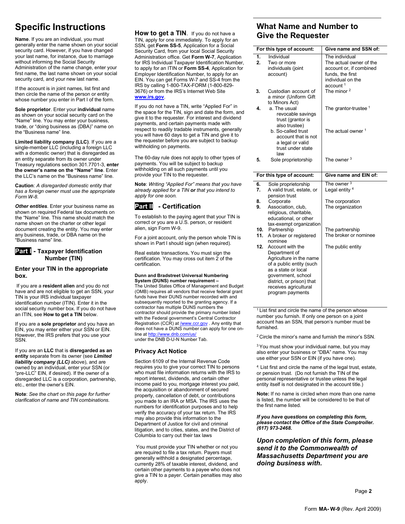## **Specific Instructions**

**Name**. If you are an individual, you must generally enter the name shown on your social security card. However, if you have changed your last name, for instance, due to marriage without informing the Social Security Administration of the name change, enter your first name, the last name shown on your social security card, and your new last name.

If the account is in joint names, list first and then circle the name of the person or entity whose number you enter in Part I of the form.

**Sole proprietor**. Enter your **individual** name as shown on your social security card on the "Name" line. You may enter your business, trade, or "doing business as (DBA)" name on the "Business name" line.

**Limited liability company (LLC)**. If you are a single-member LLC (including a foreign LLC with a domestic owner) that is disregarded as an entity separate from its owner under Treasury regulations section 301.7701-3, **enter the owner's name on the "Name" line**. Enter the LLC's name on the "Business name" line.

**Caution**: *A disregarded domestic entity that has a foreign owner must use the appropriate Form W-8*.

*Other entities*. Enter your business name as shown on required Federal tax documents on the "Name" line. This name should match the name shown on the charter or other legal document creating the entity. You may enter any business, trade, or DBA name on the "Business name" line.

#### **Part I - Taxpayer Identification Number (TIN)**

#### **Enter your TIN in the appropriate box.**

If you are a **resident alien** and you do not have and are not eligible to get an SSN, your TIN is your IRS individual taxpayer identification number (ITIN). Enter it in the social security number box. If you do not have an ITIN, see **How to get a TIN** below.

If you are a **sole proprietor** and you have an EIN, you may enter either your SSN or EIN. However, the IRS prefers that you use your SSN.

If you are an **LLC** that is **disregarded as an entity** separate from its owner (see *Limited liability company (LLC)* above), and are owned by an individual, enter your SSN (or "pre-LLC" EIN, if desired). If the owner of a disregarded LLC is a corporation, partnership, etc., enter the owner's EIN.

**Note**: *See the chart on this page for further clarification of name and TIN combinations.*

**How to get a TIN**. If you do not have a TIN, apply for one immediately. To apply for an SSN, get **Form SS-5**, Application for a Social Security Card, from your local Social Security Administration office. Get **Form W-7**, Application for IRS Individual Taxpayer Identification Number, to apply for an ITIN or **Form SS-4**, Application for Employer Identification Number, to apply for an EIN. You can get Forms W-7 and SS-4 from the IRS by calling 1-800-TAX-FORM (1-800-829- 3676) or from the IRS's Internet Web Site **[www.irs.gov](http://www.irs.gov/)**.

If you do not have a TIN, write "Applied For" in the space for the TIN, sign and date the form, and give it to the requester. For interest and dividend payments, and certain payments made with respect to readily tradable instruments, generally you will have 60 days to get a TIN and give it to the requester before you are subject to backup withholding on payments.

The 60-day rule does not apply to other types of payments. You will be subject to backup withholding on all such payments until you provide your TIN to the requester.

**Note**: *Writing "Applied For" means that you have already applied for a TIN or that you intend to apply for one soon.*

### **Part II - Certification**

To establish to the paying agent that your TIN is correct or you are a U.S. person, or resident alien, sign Form W-9.

For a joint account, only the person whole TIN is shown in Part I should sign (when required).

Real estate transactions**.** You must sign the certification. You may cross out item  $\tilde{2}$  of the certification.

#### **Dunn and Bradstreet Universal Numbering System (DUNS) number requirement –**

The United States Office of Management and Budget (OMB) requires all vendors that receive federal grant funds have their DUNS number recorded with and subsequently reported to the granting agency. If a contractor has multiple DUNS numbers the contractor should provide the primary number listed with the Federal government's Central Contractor Registration (CCR) a[t /www.ccr.gov .](http://www.ccr.gov/) Any entity that does not have a DUNS number can apply for one online at <http://www.dnb.com/us/> under the DNB D-U-N Number Tab.

### **Privacy Act Notice**

Section 6109 of the Internal Revenue Code requires you to give your correct TIN to persons who must file information returns with the IRS to report interest, dividends, and certain other income paid to you, mortgage interest you paid, the acquisition or abandonment of secured property, cancellation of debt, or contributions you made to an IRA or MSA. The IRS uses the numbers for identification purposes and to help verify the accuracy of your tax return. The IRS may also provide this information to the Department of Justice for civil and criminal litigation, and to cities, states, and the District of Columbia to carry out their tax laws

You must provide your TIN whether or not you are required to file a tax return. Payers must generally withhold a designated percentage, currently 28% of taxable interest, dividend, and certain other payments to a payee who does not give a TIN to a payer. Certain penalties may also apply.

### **What Name and Number to Give the Requester**

|            | For this type of account:                                                                 | Give name and SSN of:                                                                                                                 |  |  |  |  |
|------------|-------------------------------------------------------------------------------------------|---------------------------------------------------------------------------------------------------------------------------------------|--|--|--|--|
| 1.<br>2.   | Individual<br>Two or more<br>individuals (joint<br>account)                               | The individual<br>The actual owner of the<br>account or, if combined<br>funds, the first<br>individual on the<br>account <sup>1</sup> |  |  |  |  |
| 3.         | Custodian account of<br>a minor (Uniform Gift<br>to Minors Act)                           | The minor $2$                                                                                                                         |  |  |  |  |
| 4.         | a. The usual<br>revocable savings<br>trust (grantor is<br>also trustee)                   | The grantor-trustee $1$                                                                                                               |  |  |  |  |
|            | b. So-called trust<br>account that is not<br>a legal or valid<br>trust under state<br>law | The actual owner 1                                                                                                                    |  |  |  |  |
| 5.         | Sole proprietorship                                                                       | The owner $3$                                                                                                                         |  |  |  |  |
|            |                                                                                           |                                                                                                                                       |  |  |  |  |
|            | For this type of account:                                                                 | Give name and EIN of:                                                                                                                 |  |  |  |  |
| 6.<br>7.   | Sole proprietorship<br>A valid trust, estate, or<br>pension trust                         | The owner $3$<br>Legal entity <sup>4</sup>                                                                                            |  |  |  |  |
| 8.<br>9.   | Corporate<br>Association, club,<br>religious, charitable,<br>educational, or other        | The corporation<br>The organization                                                                                                   |  |  |  |  |
| 10.<br>11. | tax-exempt organization<br>Partnership<br>A broker or registered<br>nominee               | The partnership<br>The broker or nominee                                                                                              |  |  |  |  |

 $1$  List first and circle the name of the person whose number you furnish. If only one person on a joint account has an SSN, that person's number must be furnished.

2 Circle the minor's name and furnish the minor's SSN.

<sup>3</sup> You must show your individual name, but you may also enter your business or "DBA" name. You may use either your SSN or EIN (if you have one).

4. List first and circle the name of the legal trust, estate, or pension trust. (Do not furnish the TIN of the personal representative or trustee unless the legal entity itself is not designated in the account title.)

**Note:** If no name is circled when more than one name is listed, the number will be considered to be that of the first name listed.

#### *If you have questions on completing this form, please contact the Office of the State Comptroller. (617) 973-2468.*

### *Upon completion of this form, please send it to the Commonwealth of Massachusetts Department you are doing business with.*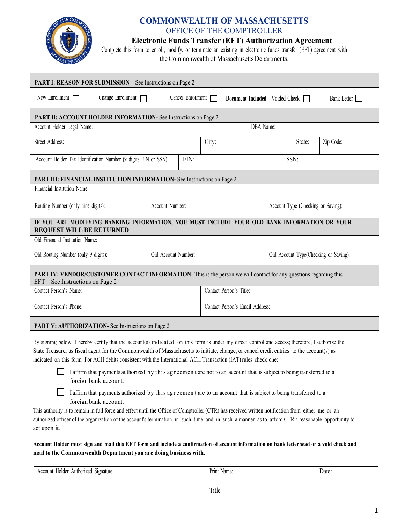

### **COMMONWEALTH OF MASSACHUSETTS** OFFICE OF THE COMPTROLLER

### **Electronic Funds Transfer (EFT) Authorization Agreement**

Complete this form to enroll, modify, or terminate an existing in electronic funds transfer (EFT) agreement with the Commonwealth of Massachusetts Departments.

| <b>PART I: REASON FOR SUBMISSION - See Instructions on Page 2</b>                                                                                     |  |                   |                                 |                                       |  |  |        |             |
|-------------------------------------------------------------------------------------------------------------------------------------------------------|--|-------------------|---------------------------------|---------------------------------------|--|--|--------|-------------|
| New Enrollment $\Box$<br>Change Enrollment $\Box$                                                                                                     |  | Cancel Enrollment |                                 | Document Included: Voided Check       |  |  |        | Bank Letter |
| PART II: ACCOUNT HOLDER INFORMATION- See Instructions on Page 2                                                                                       |  |                   |                                 |                                       |  |  |        |             |
| Account Holder Legal Name:                                                                                                                            |  |                   |                                 | DBA Name:                             |  |  |        |             |
| Street Address:                                                                                                                                       |  |                   | City:                           |                                       |  |  | State: | Zip Code:   |
| EIN:<br>Account Holder Tax Identification Number (9 digits EIN or SSN)                                                                                |  |                   |                                 |                                       |  |  | SSN:   |             |
| PART III: FINANCIAL INSTITUTION INFORMATION- See Instructions on Page 2                                                                               |  |                   |                                 |                                       |  |  |        |             |
| Financial Institution Name:                                                                                                                           |  |                   |                                 |                                       |  |  |        |             |
| Account Number:<br>Routing Number (only nine digits):                                                                                                 |  |                   |                                 | Account Type (Checking or Saving):    |  |  |        |             |
| IF YOU ARE MODIFYING BANKING INFORMATION, YOU MUST INCLUDE YOUR OLD BANK INFORMATION OR YOUR<br><b>REQUEST WILL BE RETURNED</b>                       |  |                   |                                 |                                       |  |  |        |             |
| Old Financial Institution Name:                                                                                                                       |  |                   |                                 |                                       |  |  |        |             |
| Old Account Number:<br>Old Routing Number (only 9 digits):                                                                                            |  |                   |                                 | Old Account Type(Checking or Saving): |  |  |        |             |
| PART IV: VENDOR/CUSTOMER CONTACT INFORMATION: This is the person we will contact for any questions regarding this<br>EFT – See Instructions on Page 2 |  |                   |                                 |                                       |  |  |        |             |
| Contact Person's Name:                                                                                                                                |  |                   | Contact Person's Title:         |                                       |  |  |        |             |
| Contact Person's Phone:                                                                                                                               |  |                   | Contact Person's Email Address: |                                       |  |  |        |             |
| <b>PART V: AUTHORIZATION-</b> See Instructions on Page 2                                                                                              |  |                   |                                 |                                       |  |  |        |             |

By signing below, I hereby certify that the account(s) indicated on this form is under my direct control and access; therefore, I authorize the State Treasurer as fiscal agent for the Commonwealth of Massachusetts to initiate, change, or cancel credit entries to the account(s) as indicated on this form. For ACH debits consistent with the International ACH Transaction (IAT) rules check one:

I affirm that payments authorized by this agreement are not to an account that is subject to being transferred to a foreign bank account.

 $\Box$  I affirm that payments authorized by this agreement are to an account that is subject to being transferred to a foreign bank account.

This authority is to remain in full force and effect until the Office of Comptroller (CTR) has received written notification from either me or an authorized officer of the organization of the account's termination in such time and in such a manner as to afford CTR a reasonable opportunity to act upon it.

### Account Holder must sign and mail this EFT form and include a confirmation of account information on bank letterhead or a void check and **mail to the Commonwealth Department you are doing business with.**

| Account Holder Authorized Signature: | Print Name: | Date: |
|--------------------------------------|-------------|-------|
|                                      |             |       |
|                                      | Title       |       |